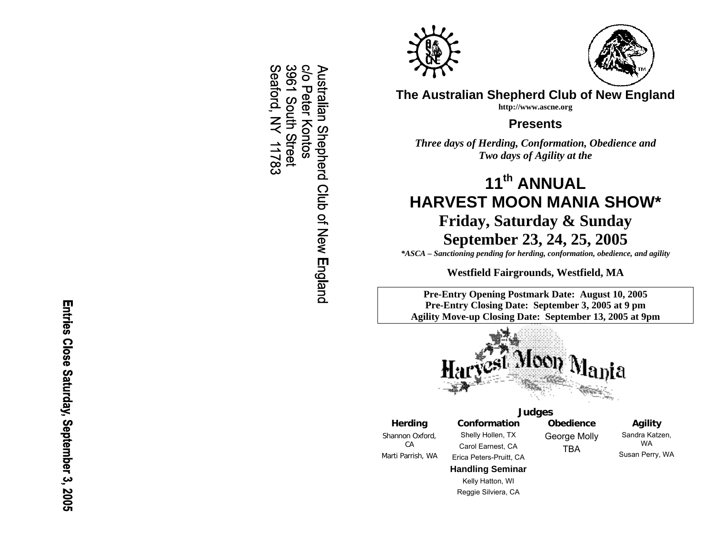Entries Close Saturday, September 3, 2005

**Solo** 3961 South Street Seaford, NY **Nustralian Shepherd Club of New England** Peter - Kontos 11783





**The Australian Shepherd Club of New England http://www.ascne.org** 

**Presents** 

*Three days of Herding, Conformation, Obedience and Two days of Agility at the* 

# **11th ANNUAL HARVEST MOON MANIA SHOW\***

# **Friday, Saturday & Sunday September 23, 24, 25, 2005**

*\*ASCA – Sanctioning pending for herding, conformation, obedience, and agility* 

**Westfield Fairgrounds, Westfield, MA** 

**Pre-Entry Opening Postm ark Date: August 10, 2005 Pre-Entry Closing Date: September 3, 2005 at 9 p mAgility Move-up Closing Date: September 13, 2005 at 9pm** 



**Judges Conformation** Shelly Hollen, T X Carol Earnest, C A

**Obedience** George Molly TBA

# **Agility**

Sandra Katzen, WA Susan Perry, WA

**Herding**  Shannon Oxford, CA Marti Parrish, WA

Erica Peters-Pruitt, CA **Handling Seminar**  Kelly Hatton, WI

Reggie Silviera, CA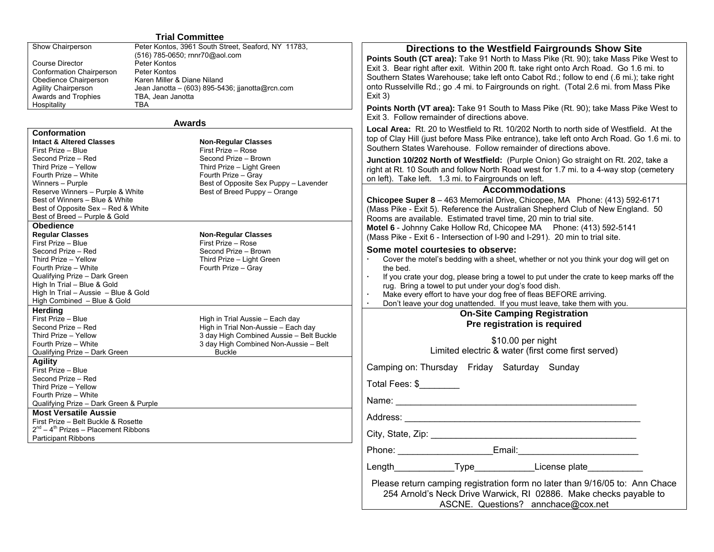#### **Trial Committee**

| <b>Show Chairperson</b>         | Peter Kontos, 3961 South Street, Seaford, NY 11783, |
|---------------------------------|-----------------------------------------------------|
|                                 | (516) 785-0650; rnnr70@aol.com                      |
| Course Director                 | Peter Kontos                                        |
| <b>Conformation Chairperson</b> | Peter Kontos                                        |
| Obedience Chairperson           | Karen Miller & Diane Niland                         |
| <b>Agility Chairperson</b>      | Jean Janotta – (603) 895-5436; jianotta@rcn.com     |
| Awards and Trophies             | TBA, Jean Janotta                                   |
| Hospitality                     | TBA                                                 |

#### **Awards**

| Intact & Altered Classes           |
|------------------------------------|
| First Prize – Blue                 |
| Second Prize – Red                 |
| Third Prize - Yellow               |
| Fourth Prize - White               |
| Winners – Purple                   |
| Reserve Winners – Purple & White   |
| Best of Winners – Blue & White     |
| Best of Opposite Sex - Red & White |
| Best of Breed – Purple & Gold      |
| Obedience                          |
| <b>Regular Classes</b>             |
| First Prize -- Blue                |
| Second Prize – Red                 |
| Third Prize – Yellow               |
| Fourth Prize - White               |
| Qualifying Prize – Dark Green      |
| High In Trial - Blue & Gold        |
|                                    |

# High In Trial – Aussie – Blue & Gold High Combined – Blue & Gold **Herding**

First Prize – Blue Second Prize – Red Third Prize – Yellow Fourth Prize – White Qualifying Prize – Dark Green

#### **Agility**

**Conformation**

First Prize – Blue Second Prize – Red Third Prize – Yellow Fourth Prize – White Qualifying Prize – Dark Green & Purple **Most Versatile Aussie**  First Prize – Belt Buckle & Rosette  $2^{nd} - 4^{th}$  Prizes – Placement Ribbons

Participant Ribbons

| 11 / U@aul.culli<br>e Niland<br>) 895-5436; jjanotta@rcn.com                                                                              | <b>Points South (CT area):</b> Take 91 North to Mass Pike (Rt. 90); take Mass Pike West to<br>Exit 3. Bear right after exit. Within 200 ft. take right onto Arch Road. Go 1.6 mi. to<br>Southern States Warehouse; take left onto Cabot Rd.; follow to end (.6 mi.); take right<br>onto Russelville Rd.; go .4 mi. to Fairgrounds on right. (Total 2.6 mi. from Mass Pike<br>Exit 3)                                                        |
|-------------------------------------------------------------------------------------------------------------------------------------------|---------------------------------------------------------------------------------------------------------------------------------------------------------------------------------------------------------------------------------------------------------------------------------------------------------------------------------------------------------------------------------------------------------------------------------------------|
| ds.                                                                                                                                       | Points North (VT area): Take 91 South to Mass Pike (Rt. 90); take Mass Pike West to<br>Exit 3. Follow remainder of directions above.                                                                                                                                                                                                                                                                                                        |
| <b>Non-Regular Classes</b><br>First Prize - Rose                                                                                          | Local Area: Rt. 20 to Westfield to Rt. 10/202 North to north side of Westfield. At the<br>top of Clay Hill (just before Mass Pike entrance), take left onto Arch Road. Go 1.6 mi. to<br>Southern States Warehouse. Follow remainder of directions above.                                                                                                                                                                                    |
| Second Prize - Brown<br>Third Prize - Light Green<br>Fourth Prize - Gray                                                                  | Junction 10/202 North of Westfield: (Purple Onion) Go straight on Rt. 202, take a<br>right at Rt. 10 South and follow North Road west for 1.7 mi. to a 4-way stop (cemetery<br>on left). Take left. 1.3 mi. to Fairgrounds on left.                                                                                                                                                                                                         |
| Best of Opposite Sex Puppy - Lavender<br>Best of Breed Puppy - Orange                                                                     | <b>Accommodations</b><br>Chicopee Super 8 - 463 Memorial Drive, Chicopee, MA Phone: (413) 592-6171<br>(Mass Pike - Exit 5). Reference the Australian Shepherd Club of New England. 50<br>Rooms are available. Estimated travel time, 20 min to trial site.                                                                                                                                                                                  |
| <b>Non-Regular Classes</b><br>First Prize - Rose                                                                                          | Motel 6 - Johnny Cake Hollow Rd, Chicopee MA Phone: (413) 592-5141<br>(Mass Pike - Exit 6 - Intersection of I-90 and I-291). 20 min to trial site.                                                                                                                                                                                                                                                                                          |
| Second Prize - Brown<br>Third Prize - Light Green<br>Fourth Prize - Gray                                                                  | Some motel courtesies to observe:<br>Cover the motel's bedding with a sheet, whether or not you think your dog will get on<br>the bed.<br>If you crate your dog, please bring a towel to put under the crate to keep marks off the<br>rug. Bring a towel to put under your dog's food dish.<br>Make every effort to have your dog free of fleas BEFORE arriving.<br>Don't leave your dog unattended. If you must leave, take them with you. |
| High in Trial Aussie - Each day                                                                                                           | <b>On-Site Camping Registration</b><br>Pre registration is required                                                                                                                                                                                                                                                                                                                                                                         |
| High in Trial Non-Aussie - Each day<br>3 day High Combined Aussie - Belt Buckle<br>3 day High Combined Non-Aussie - Belt<br><b>Buckle</b> | \$10.00 per night<br>Limited electric & water (first come first served)                                                                                                                                                                                                                                                                                                                                                                     |
|                                                                                                                                           | Camping on: Thursday Friday Saturday Sunday                                                                                                                                                                                                                                                                                                                                                                                                 |
|                                                                                                                                           | Total Fees: \$                                                                                                                                                                                                                                                                                                                                                                                                                              |
|                                                                                                                                           |                                                                                                                                                                                                                                                                                                                                                                                                                                             |
|                                                                                                                                           |                                                                                                                                                                                                                                                                                                                                                                                                                                             |
|                                                                                                                                           | City, State, Zip: 2008. Experience of the State of Table 2008. The State of Table 2008. The State of Table 200                                                                                                                                                                                                                                                                                                                              |
|                                                                                                                                           | Email:<br>Phone:                                                                                                                                                                                                                                                                                                                                                                                                                            |

**Directions to the Westfield Fairgrounds Show Site** 

Please return camping registration form no later than 9/16/05 to: Ann Chace 254 Arnold's Neck Drive Warwick, RI 02886. Make checks payable to ASCNE. Questions? annchace@cox.net

Length Type License plate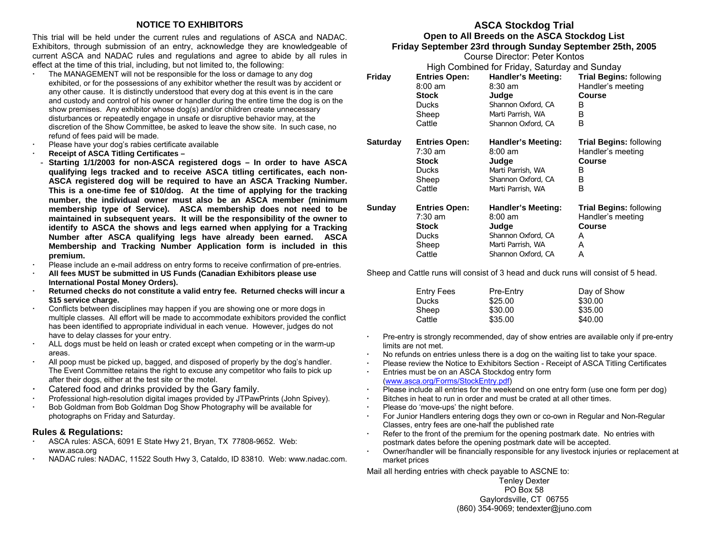#### **NOTICE TO EXHIBITORS**

This trial will be held under the current rules and regulations of ASCA and NADAC. Exhibitors, through submission of an entry, acknowledge they are knowledgeable of current ASCA and NADAC rules and regulations and agree to abide by all rules in effect at the time of this trial, including, but not limited to, the following:

- The MANAGEMENT will not be responsible for the loss or damage to any dog exhibited, or for the possessions of any exhibitor whether the result was by accident or any other cause. It is distinctly understood that every dog at this event is in the care and custody and control of his owner or handler during the entire time the dog is on the show premises. Any exhibitor whose dog(s) and/or children create unnecessary disturbances or repeatedly engage in unsafe or disruptive behavior may, at the discretion of the Show Committee, be asked to leave the show site. In such case, no refund of fees paid will be made.
- Please have your dog's rabies certificate available
- **Receipt of ASCA Titling Certificates**
- Starting 1/1/2003 for non-ASCA registered dogs In order to have ASCA **qualifying legs tracked and to receive ASCA titling certificates, each non-ASCA registered dog will be required to have an ASCA Tracking Number. This is a one-time fee of \$10/dog. At the time of applying for the tracking number, the individual owner must also be an ASCA member (minimum membership type of Service). ASCA membership does not need to be maintained in subsequent years. It will be the responsibility of the owner to identify to ASCA the shows and legs earned when applying for a Tracking Number after ASCA qualifying legs have already been earned. ASCA Membership and Tracking Number Application form is included in this premium.**
- Please include an e-mail address on entry forms to receive confirmation of pre-entries.
- **All fees MUST be submitted in US Funds (Canadian Exhibitors please use International Postal Money Orders).**
- **Returned checks do not constitute a valid entry fee. Returned checks will incur a \$15 service charge.**
- Conflicts between disciplines may happen if you are showing one or more dogs in multiple classes. All effort will be made to accommodate exhibitors provided the conflict has been identified to appropriate individual in each venue. However, judges do not have to delay classes for your entry.
- ALL dogs must be held on leash or crated except when competing or in the warm-up areas.
- All poop must be picked up, bagged, and disposed of properly by the dog's handler. The Event Committee retains the right to excuse any competitor who fails to pick up after their dogs, either at the test site or the motel.
- Catered food and drinks provided by the Gary family.
- Professional high-resolution digital images provided by JTPawPrints (John Spivey).
- Bob Goldman from Bob Goldman Dog Show Photography will be available for photographs on Friday and Saturday.

#### **Rules & Regulations:**

- ASCA rules: ASCA, 6091 E State Hwy 21, Bryan, TX 77808-9652. Web: www.asca.org
- NADAC rules: NADAC, 11522 South Hwy 3, Cataldo, ID 83810. Web: www.nadac.com.

## **ASCA Stockdog Trial**

#### **Open to All Breeds on the ASCA Stockdog List Friday September 23rd through Sunday September 25th, 2005**

Course Director: Peter Kontos

|                                               |                      | ovaisc Diicolor. Lolor I lohkos |                                |  |
|-----------------------------------------------|----------------------|---------------------------------|--------------------------------|--|
| High Combined for Friday, Saturday and Sunday |                      |                                 |                                |  |
| Friday                                        | <b>Entries Open:</b> | <b>Handler's Meeting:</b>       | <b>Trial Begins: following</b> |  |
|                                               | $8:00 \text{ am}$    | $8:30$ am                       | Handler's meeting              |  |
|                                               | <b>Stock</b>         | Judge                           | <b>Course</b>                  |  |
|                                               | Ducks                | Shannon Oxford, CA              | В                              |  |
|                                               | Sheep                | Marti Parrish, WA               | В                              |  |
|                                               | Cattle               | Shannon Oxford, CA              | B                              |  |
| <b>Saturday</b>                               | <b>Entries Open:</b> | <b>Handler's Meeting:</b>       | <b>Trial Begins: following</b> |  |
|                                               | $7:30$ am            | $8:00 \text{ am}$               | Handler's meeting              |  |
|                                               | Stock                | Judge                           | Course                         |  |
|                                               | Ducks                | Marti Parrish, WA               | В                              |  |
|                                               | Sheep                | Shannon Oxford, CA              | В                              |  |
|                                               | Cattle               | Marti Parrish, WA               | B                              |  |
| Sunday                                        | <b>Entries Open:</b> | Handler's Meeting:              | <b>Trial Begins: following</b> |  |
|                                               | 7:30 am              | $8:00 \text{ am}$               | Handler's meeting              |  |
|                                               | Stock                | Judge                           | Course                         |  |
|                                               | <b>Ducks</b>         | Shannon Oxford, CA              | A                              |  |
|                                               | Sheep                | Marti Parrish, WA               | A                              |  |
|                                               | Cattle               | Shannon Oxford, CA              | А                              |  |

Sheep and Cattle runs will consist of 3 head and duck runs will consist of 5 head.

| <b>Entry Fees</b> | Pre-Entry | Day of Show |
|-------------------|-----------|-------------|
| <b>Ducks</b>      | \$25.00   | \$30.00     |
| Sheep             | \$30.00   | \$35.00     |
| Cattle            | \$35.00   | \$40.00     |

- Pre-entry is strongly recommended, day of show entries are available only if pre-entry limits are not met.
- No refunds on entries unless there is a dog on the waiting list to take your space.
- Please review the Notice to Exhibitors Section Receipt of ASCA Titling Certificates
- Entries must be on an ASCA Stockdog entry form ([www.asca.org/Forms/StockEntry.pdf](http://www.asca.org/Forms/StockEntry.pdf))
- Please include all entries for the weekend on one entry form (use one form per dog)
- Bitches in heat to run in order and must be crated at all other times.
- Please do 'move-ups' the night before.
- For Junior Handlers entering dogs they own or co-own in Regular and Non-Regular Classes, entry fees are one-half the published rate
- Refer to the front of the premium for the opening postmark date. No entries with postmark dates before the opening postmark date will be accepted.
- Owner/handler will be financially responsible for any livestock injuries or replacement at market prices

Mail all herding entries with check payable to ASCNE to:

Tenley Dexter PO Box 58 Gaylordsville, CT 06755 (860) 354-9069; tendexter@juno.com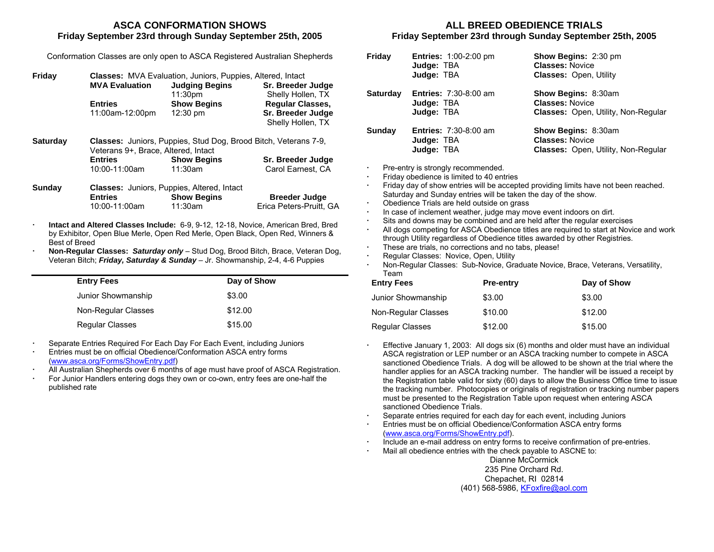#### **ASCA CONFORMATION SHOWSFriday September 23rd through Sunday September 25th, 2005**

| Conformation Classes are only open to ASCA Registered Australian Shepherds |  |  |  |
|----------------------------------------------------------------------------|--|--|--|
|                                                                            |  |  |  |

| Friday |                       | <b>Classes:</b> MVA Evaluation, Juniors, Puppies, Altered, Intact |                         |  |  |
|--------|-----------------------|-------------------------------------------------------------------|-------------------------|--|--|
|        | <b>MVA Evaluation</b> | <b>Judging Begins</b>                                             | Sr. Breeder Judge       |  |  |
|        |                       | 11:30 <sub>pm</sub>                                               | Shelly Hollen, TX       |  |  |
|        | <b>Entries</b>        | <b>Show Begins</b>                                                | <b>Regular Classes,</b> |  |  |
|        | 11:00am-12:00pm       | $12:30 \text{ pm}$                                                | Sr. Breeder Judge       |  |  |
|        |                       |                                                                   | Shelly Hollen, TX       |  |  |

**Saturday Classes:** Juniors, Puppies, Stud Dog, Brood Bitch, Veterans 7-9, Veterans 9+, Brace, Altered, Intact **Entries**10:00-11:00am **Show Begins**  11:30am **Sr. Breeder Judge**  Carol Earnest, CA

| Sunday |                | <b>Classes:</b> Juniors, Puppies, Altered, Intact |                         |  |
|--------|----------------|---------------------------------------------------|-------------------------|--|
|        | <b>Entries</b> | <b>Show Begins</b>                                | <b>Breeder Judge</b>    |  |
|        | 10:00-11:00am  | 11:30am                                           | Erica Peters-Pruitt. GA |  |

- **Intact and Altered Classes Include:** 6-9, 9-12, 12-18, Novice, American Bred, Bred by Exhibitor, Open Blue Merle, Open Red Merle, Open Black, Open Red, Winners & Best of Breed
- **Non-Regular Classes:** *Saturday only* Stud Dog, Brood Bitch, Brace, Veteran Dog, Veteran Bitch; *Friday, Saturday & Sunday* – Jr. Showmanship, 2-4, 4-6 Puppies

| <b>Entry Fees</b>      | Day of Show |
|------------------------|-------------|
| Junior Showmanship     | \$3.00      |
| Non-Regular Classes    | \$12.00     |
| <b>Regular Classes</b> | \$15.00     |

Separate Entries Required For Each Day For Each Event, including Juniors

- Entries must be on official Obedience/Conformation ASCA entry forms ([www.asca.org/Forms/ShowEntry.pdf](http://www.asca.org/Forms/ShowEntry.pdf))
- All Australian Shepherds over 6 months of age must have proof of ASCA Registration.
- For Junior Handlers entering dogs they own or co-own, entry fees are one-half the published rate

#### **ALL BREED OBEDIENCE TRIALSFriday September 23rd through Sunday September 25th, 2005**

| Friday          | <b>Entries: 1:00-2:00 pm</b><br>Judge: TBA<br>Judge: TBA                | <b>Show Begins: 2:30 pm</b><br><b>Classes: Novice</b><br><b>Classes: Open, Utility</b>             |  |  |
|-----------------|-------------------------------------------------------------------------|----------------------------------------------------------------------------------------------------|--|--|
| <b>Saturday</b> | <b>Entries: 7:30-8:00 am</b><br>Judge: TBA<br>Judge: TBA                | Show Begins: 8:30am<br><b>Classes: Novice</b><br><b>Classes: Open, Utility, Non-Regular</b>        |  |  |
| Sunday          | <b>Entries: 7:30-8:00 am</b><br>Judge: TBA<br>Judge: TBA                | <b>Show Begins: 8:30am</b><br><b>Classes: Novice</b><br><b>Classes: Open, Utility, Non-Regular</b> |  |  |
| ٠               | Pre-entry is strongly recommended.                                      |                                                                                                    |  |  |
| ٠               | Friday obedience is limited to 40 entries                               |                                                                                                    |  |  |
| ٠               |                                                                         | Friday day of show entries will be accepted providing limits have not been reached.                |  |  |
|                 | Saturday and Sunday entries will be taken the day of the show.          |                                                                                                    |  |  |
| ٠               | Obedience Trials are held outside on grass                              |                                                                                                    |  |  |
| ٠               | In case of inclement weather, judge may move event indoors on dirt.     |                                                                                                    |  |  |
| $\blacksquare$  | Sits and downs may be combined and are held after the regular exercises |                                                                                                    |  |  |

- All dogs competing for ASCA Obedience titles are required to start at Novice and work through Utility regardless of Obedience titles awarded by other Registries.
- These are trials, no corrections and no tabs, please!
- **Regular Classes: Novice, Open, Utility .**<br>Non-Regular Classes: Sub-Novice, Gra
- Non-Regular Classes: Sub-Novice, Graduate Novice, Brace, Veterans, Versatility, Team

| <b>Entry Fees</b>      | <b>Pre-entry</b> | Day of Show |
|------------------------|------------------|-------------|
| Junior Showmanship     | \$3.00           | \$3.00      |
| Non-Regular Classes    | \$10.00          | \$12.00     |
| <b>Regular Classes</b> | \$12.00          | \$15.00     |

- Effective January 1, 2003: All dogs six (6) months and older must have an individual ASCA registration or LEP number or an ASCA tracking number to compete in ASCA sanctioned Obedience Trials. A dog will be allowed to be shown at the trial where the handler applies for an ASCA tracking number. The handler will be issued a receipt by the Registration table valid for sixty (60) days to allow the Business Office time to issue the tracking number. Photocopies or originals of registration or tracking number papers must be presented to the Registration Table upon request when entering ASCA sanctioned Obedience Trials.
- Separate entries required for each day for each event, including Juniors
- Entries must be on official Obedience/Conformation ASCA entry forms ([www.asca.org/Forms/ShowEntry.pdf](http://www.asca.org/Forms/ShowEntry.pdf)).
- Include an e-mail address on entry forms to receive confirmation of pre-entries.
- Mail all obedience entries with the check payable to ASCNE to:

Dianne McCormick 235 Pine Orchard Rd. Chepachet, RI 02814 (401) 568-5986, [KFoxfire@aol.com](mailto:KFoxfire@aol.com)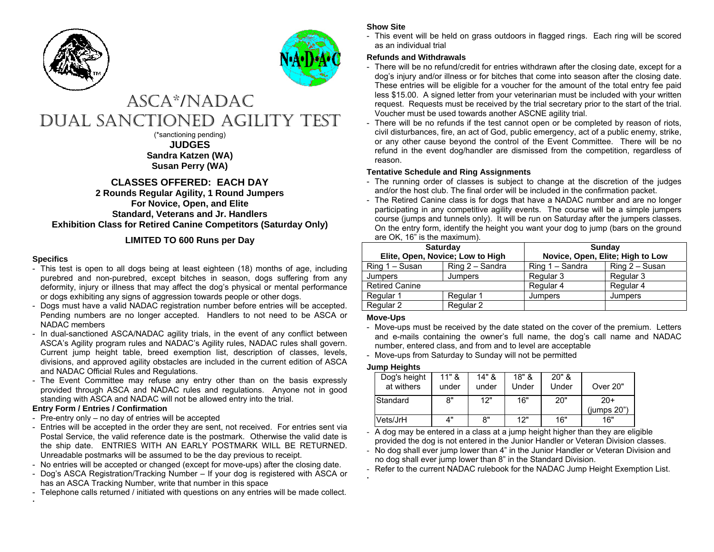



# ASCA\*/NA DACDUAL SANCTIONED AGILITY TEST

(\*sanctioning pending) **JUDGES Sandra Katzen (WA) Susan Perry (WA)** 

### **CLASSES OFFERED: EACH DAY**

#### **2 Rounds Regular Agilit y, 1 Round Jumpers For Novice, Open, and Elite Standard, Veteran s and Jr. Handlers Exhibition Class for Retired Canine Competitors (Saturday Only)**

### **LIMITED TO 600 Runs per Da y**

#### **Specifics**

. .

- This test is open to all dogs being at least eighteen (18) months of age, including purebred and non-purebred, except bitches in season, dogs suffering from any deformity, injury or illness that may affect the dog's physical or mental performance or dogs exhibiting any signs of aggression to wards people or other dogs.
- Dogs must have a valid NAD AC registration number before entries will be accepted. Pending numbers are no longer accepted. Handlers to not need to be ASCA or NADAC members
- In dual-sanctioned ASCA/NADAC agility trials, in the event of any conflict between ASCA's Agility program rules and N ADAC's Agility rules, N ADAC rules shall govern. Current jump height table, breed exemption list, description of classes, levels, divisions, and approved agility obstacles are included in the current edition of ASCA and NADAC Official Rules and Regulations.
- The Event Committee may refuse any entry other than on the basis expressly provided through ASCA and NADAC rules and regulations. Anyone not in good standing with ASCA and NADAC will not be allowed entry into the trial.

#### **Entry Form / Entries / Confirmation**

- Pre-entry only no day of entries will be accepted
- Entries will be accepted in the order they are sent, not received. For entries sent via Postal Service, the valid reference date is the postmark. Other wise the valid date is the ship date. ENT RIES WIT H AN EARLY POSTMARK WILL BE RETURNED. Unreadable postmarks will be assumed to be the day previous to receipt.
- No entries will be accepted or changed (except for move-ups) after the closing date.
- Dog's ASCA Registration/Tracking Number If your dog is registered with ASCA or has an ASCA Tracking Number, write that number in this space
- Telephone calls returned / initiated with questions on any entries will be made collect.

#### **Show Site**

- This event will be held on grass outdoors in flagged rings. Each ring will be scored as an individual trial

#### **Refunds and Withdrawals**

- There will be no refund/credit for entries withdrawn after the closing date, except for a dog's injury and/or illness or for bitches that come into season after the closing date. These entries will be eligible for a voucher for the amount of the total entry fee paid less \$15.00. A signed letter from your veterinarian must be included with your writtenrequest. Requests must be received by the trial secretary prior to the start of the trial. Voucher must be used to wards another ASCNE agility trial.
- There will be no refunds if the test cannot open or be completed by reason of riots, civil disturbances, fire, an act of God, public emergency, act of a public enemy, strike, or any other cause beyond the control of the Event Com mittee. There will be norefund in the event dog/handler are dismissed from the competition, regardless of reason.

#### **Tentativ e Schedule and Ring Assignments**

- The running order of classes is subject to change at the discretion of the judges and/or the host club. The final order will be included in the confirmation packet.
- The Retired Canine class is for dogs that have a NADAC number and are no longer participating in any competitive agility events. The course will be a simple jumpers course (jumps and tunnels only). It will be run on Saturday after the jumpers classes. On the entry form, identify the height you want your dog to jump (bars on the ground are OK, 16" is the maximum).

| <b>Saturday</b>                  |                 | <b>Sunday</b>                    |                |  |
|----------------------------------|-----------------|----------------------------------|----------------|--|
| Elite, Open, Novice; Low to High |                 | Novice, Open, Elite; High to Low |                |  |
| Ring 1 - Susan                   | Ring 2 - Sandra | Ring 1 - Sandra                  | Ring 2 - Susan |  |
| Jumpers<br>Jumpers               |                 | Regular 3                        | Regular 3      |  |
| <b>Retired Canine</b>            |                 | Regular 4                        | Regular 4      |  |
| Regular 1                        | Regular 1       | Jumpers                          | Jumpers        |  |
| Regular 2<br>Regular 2           |                 |                                  |                |  |

#### **Move-Ups**

- Move-ups must be received by the date stated on the cover of the premium. Letters and e-mails containing the owner's full name, the dog's call name and N ADACnumber, entered class, and fro m and to level are acceptable
- Move-ups from Saturday to Sunday will not be permitted

#### **Jump Heights**

. .

| Dog's height<br>at withers | $11"$ &<br>under | $14"$ &<br>under | 18" R<br>Under | $20"$ &<br>Under | Over 20"    |
|----------------------------|------------------|------------------|----------------|------------------|-------------|
| Standard                   | 8"               | 12"              | 16"            | 20"              | $20+$       |
|                            |                  |                  |                |                  | (iumps 20") |
| Vets/JrH                   | 4"               | 8"               | 12"            | 16"              | 16"         |

- A dog may be entered in a class at a jump height higher than they are eligible provided the dog is not entered in the Junior Handler or Veteran Division classes.

- No dog shall ever jump lower than 4" in the Junior Handler or Veteran Division and no dog shall ever jump lower than 8" in the Standard Division.

- Refer to the current NADAC rulebook for the NADAC Jump Height Exemption List.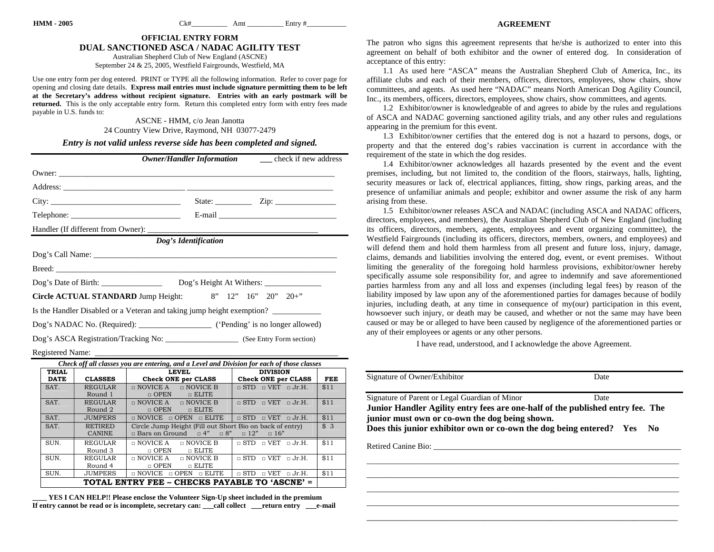#### **AGREEMENT**

#### **OFFICIAL ENTRY FORM DUAL SANCTIONED ASCA / NADAC AGILITY TEST**

Australian Shepherd Club of New England (ASCNE) September 24 & 25, 2005, Westfield Fairgrounds, Westfield, MA

Use one entry form per dog entered. PRINT or TYPE all the following information. Refer to cover page for opening and closing date details. **Express mail entries must include signature permitting them to be left at the Secretary's address without recipient signature. Entries with an early postmark will be returned.** This is the only acceptable entry form. Return this completed entry form with entry fees made payable in U.S. funds to:

> ASCNE - HMM, c/o Jean Janotta 24 Country View Drive, Raymond, NH 03077-2479

#### *Entry is not valid unless reverse side has been completed and signed.*

|                                                                                        |                      | <b>Owner/Handler Information</b> _______ check if new address |
|----------------------------------------------------------------------------------------|----------------------|---------------------------------------------------------------|
|                                                                                        |                      |                                                               |
|                                                                                        |                      |                                                               |
| City:                                                                                  |                      | State: $\angle$ Zip: $\angle$                                 |
|                                                                                        |                      |                                                               |
|                                                                                        |                      |                                                               |
|                                                                                        | Dog's Identification |                                                               |
|                                                                                        |                      |                                                               |
|                                                                                        |                      |                                                               |
|                                                                                        |                      |                                                               |
| Circle ACTUAL STANDARD Jump Height: 8" 12" 16" 20" 20+"                                |                      |                                                               |
| Is the Handler Disabled or a Veteran and taking jump height exemption?                 |                      |                                                               |
| Dog's NADAC No. (Required): _________________________ ('Pending' is no longer allowed) |                      |                                                               |
|                                                                                        |                      |                                                               |

Registered Name:

| Check off all classes you are entering, and a Level and Division for each of those classes |                |                                                      |                                                          |      |  |  |  |  |
|--------------------------------------------------------------------------------------------|----------------|------------------------------------------------------|----------------------------------------------------------|------|--|--|--|--|
| <b>TRIAL</b>                                                                               |                | <b>LEVEL</b>                                         | <b>DIVISION</b>                                          |      |  |  |  |  |
| <b>DATE</b>                                                                                | <b>CLASSES</b> | <b>Check ONE per CLASS</b>                           | Check ONE per CLASS                                      | FEE  |  |  |  |  |
| SAT.                                                                                       | <b>REGULAR</b> | $\sqcap$ NOVICE B<br>$\Box$ NOVICE A                 | $\sqcap$ VET $\sqcap$ Jr.H.<br>$\sqcap$ STD              | \$11 |  |  |  |  |
|                                                                                            | Round 1        | $\Box$ ELITE<br>$\Box$ OPEN                          |                                                          |      |  |  |  |  |
| SAT.                                                                                       | <b>REGULAR</b> | $\Box$ NOVICE A<br>$\Box$ NOVICE B                   | $\sqcap$ VET<br>$\sqcap$ STD<br>$\sqcap$ Jr.H.           | \$11 |  |  |  |  |
|                                                                                            | Round 2        | $\Box$ ELITE<br>$\Box$ OPEN                          |                                                          |      |  |  |  |  |
| SAT.                                                                                       | <b>JUMPERS</b> | $\Box$ NOVICE<br>$\Box$ OPEN<br>$\Box$ ELITE         | $\sqcap$ STD<br>$\sqcap$ VET<br>$\sqcap$ Jr.H.           | \$11 |  |  |  |  |
| SAT.                                                                                       | <b>RETIRED</b> |                                                      | Circle Jump Height (Fill out Short Bio on back of entry) |      |  |  |  |  |
|                                                                                            | <b>CANINE</b>  | $\Box$ Bars on Ground $\Box$ 4" $\Box$ 8" $\Box$ 12" | $\Box$ 16"                                               |      |  |  |  |  |
| SUN.                                                                                       | <b>REGULAR</b> | $\Box$ NOVICE B<br>$\Box$ NOVICE A                   | $\Box$ VET<br>$\sqcap$ STD<br>$\sqcap$ Jr.H.             | \$11 |  |  |  |  |
|                                                                                            | Round 3        | n ELITE<br>$\Box$ OPEN                               |                                                          |      |  |  |  |  |
| SUN.                                                                                       | <b>REGULAR</b> | $\Box$ NOVICE A<br>n NOVICE B                        | $\sqcap$ STD<br>$\sqcap$ VET<br>$\sqcap$ Jr.H.           | \$11 |  |  |  |  |
|                                                                                            | Round 4        | $\Box$ ELITE<br>$\Box$ OPEN                          |                                                          |      |  |  |  |  |
| SUN.                                                                                       | <b>JUMPERS</b> | $\Box$ NOVICE<br>$\Box$ OPEN<br>□ ELITE              | $\mathsf{U}$ VET<br>$\sqcap$ STD<br>$\sqcap$ Jr.H.       | \$11 |  |  |  |  |
| TOTAL ENTRY FEE – CHECKS PAYABLE TO 'ASCNE' =                                              |                |                                                      |                                                          |      |  |  |  |  |

**\_\_\_\_ YES I CAN HELP!! Please enclose the Volunteer Sign-Up sheet included in the premium If entry cannot be read or is incomplete, secretary can: \_\_\_call collect \_\_\_return entry \_\_\_e-mail**  The patron who signs this agreement represents that he/she is authorized to enter into this agreement on behalf of both exhibitor and the owner of entered dog. In consideration of acceptance of this entry:

1.1 As used here "ASCA" means the Australian Shepherd Club of America, Inc., its affiliate clubs and each of their members, officers, directors, employees, show chairs, show committees, and agents. As used here "NADAC" means North American Dog Agility Council, Inc., its members, officers, directors, employees, show chairs, show committees, and agents.

1.2 Exhibitor/owner is knowledgeable of and agrees to abide by the rules and regulations of ASCA and NADAC governing sanctioned agility trials, and any other rules and regulations appearing in the premium for this event.

1.3 Exhibitor/owner certifies that the entered dog is not a hazard to persons, dogs, or property and that the entered dog's rabies vaccination is current in accordance with the requirement of the state in which the dog resides.

1.4 Exhibitor/owner acknowledges all hazards presented by the event and the event premises, including, but not limited to, the condition of the floors, stairways, halls, lighting, security measures or lack of, electrical appliances, fitting, show rings, parking areas, and the presence of unfamiliar animals and people; exhibitor and owner assume the risk of any harm arising from these.

1.5 Exhibitor/owner releases ASCA and NADAC (including ASCA and NADAC officers, directors, employees, and members), the Australian Shepherd Club of New England (including its officers, directors, members, agents, employees and event organizing committee), the Westfield Fairgrounds (including its officers, directors, members, owners, and employees) and will defend them and hold them harmless from all present and future loss, injury, damage, claims, demands and liabilities involving the entered dog, event, or event premises. Without limiting the generality of the foregoing hold harmless provisions, exhibitor/owner hereby specifically assume sole responsibility for, and agree to indemnify and save aforementioned parties harmless from any and all loss and expenses (including legal fees) by reason of the liability imposed by law upon any of the aforementioned parties for damages because of bodily injuries, including death, at any time in consequence of my(our) participation in this event, howsoever such injury, or death may be caused, and whether or not the same may have been caused or may be or alleged to have been caused by negligence of the aforementioned parties or any of their employees or agents or any other persons.

I have read, understood, and I acknowledge the above Agreement.

| Signature of Owner/Exhibitor                                                                                                                                                                                                                              | Date        |  |  |  |  |
|-----------------------------------------------------------------------------------------------------------------------------------------------------------------------------------------------------------------------------------------------------------|-------------|--|--|--|--|
| Signature of Parent or Legal Guardian of Minor<br>Junior Handler Agility entry fees are one-half of the published entry fee. The<br>junior must own or co-own the dog being shown.<br>Does this junior exhibitor own or co-own the dog being entered? Yes | Date<br>No. |  |  |  |  |
| Retired Canine Bio:                                                                                                                                                                                                                                       |             |  |  |  |  |
|                                                                                                                                                                                                                                                           |             |  |  |  |  |
|                                                                                                                                                                                                                                                           |             |  |  |  |  |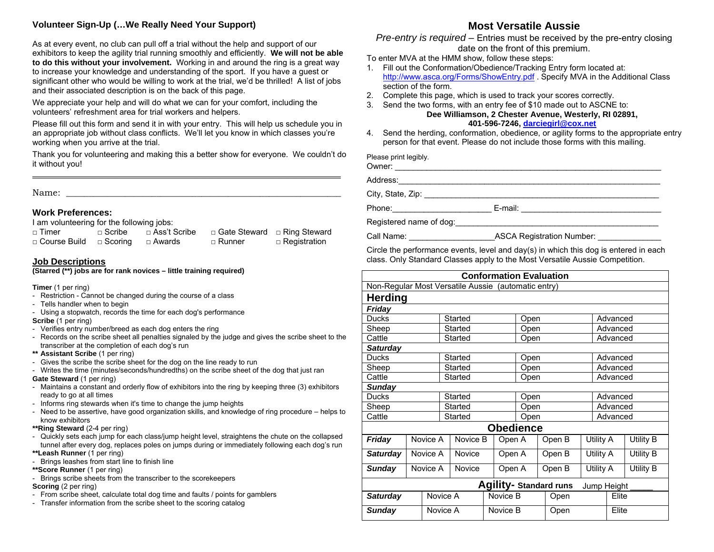### **Volunteer Sign-Up (…We Really Need Your Support)**

As at every event, no club can pull off a trial without the help and support of our exhibitors to keep the agility trial running smoothly and efficiently. **We will not be able to do this without your involvement.** Working in and around the ring is a great way to increase your knowledge and understanding of the sport. If you have a guest or significant other who would be willing to work at the trial, we'd be thrilled! A list of jobs and their associated description is on the back of this page.

We appreciate your help and will do what we can for your comfort, including the volunteers' refreshment area for trial workers and helpers.

Please fill out this form and send it in with your entry. This will help us schedule you in an appropriate job without class conflicts. We'll let you know in which classes you're working when you arrive at the trial.

Thank you for volunteering and making this a better show for everyone. We couldn't do it without you!

Name:

#### **Work Preferences:**

I am volunteering for the following jobs:

| $\Box$ Timer                       | $\sqcap$ Scribe | □ Ass't Scribe | □ Gate Steward □ Ring Steward |                     |
|------------------------------------|-----------------|----------------|-------------------------------|---------------------|
| $\Box$ Course Build $\Box$ Scoring |                 | □ Awards       | □ Runner                      | $\Box$ Registration |

#### **Job Descriptions**

**(Starred (\*\*) jobs are for rank novices – little training required)** 

**Timer** (1 per ring)

- Restriction Cannot be changed during the course of a class
- Tells handler when to begin
- Using a stopwatch, records the time for each dog's performance

**Scribe** (1 per ring)

- Verifies entry number/breed as each dog enters the ring
- Records on the scribe sheet all penalties signaled by the judge and gives the scribe sheet to the transcriber at the completion of each dog's run
- **\*\* Assistant Scribe** (1 per ring)
- Gives the scribe the scribe sheet for the dog on the line ready to run
- Writes the time (minutes/seconds/hundredths) on the scribe sheet of the dog that just ran

**Gate Steward** (1 per ring)

- Maintains a constant and orderly flow of exhibitors into the ring by keeping three (3) exhibitors ready to go at all times
- Informs ring stewards when it's time to change the jump heights
- Need to be assertive, have good organization skills, and knowledge of ring procedure helps to know exhibitors
- **\*\*Ring Steward** (2-4 per ring)
- Quickly sets each jump for each class/jump height level, straightens the chute on the collapsed tunnel after every dog, replaces poles on jumps during or immediately following each dog's run **\*\*Leash Runner** (1 per ring)
- Brings leashes from start line to finish line
- **\*\*Score Runner** (1 per ring)
- Brings scribe sheets from the transcriber to the scorekeepers
- **Scoring** (2 per ring)
- From scribe sheet, calculate total dog time and faults / points for gamblers
- Transfer information from the scribe sheet to the scoring catalog

# **Most Versatile Aussie**

*Pre-entry is required –* Entries must be received by the pre-entry closing date on the front of this premium.

To enter MVA at the HMM show, follow these steps:

- 1. Fill out the Conformation/Obedience/Tracking Entry form located at: <http://www.asca.org/Forms/ShowEntry.pdf>. Specify MVA in the Additional Class section of the form.
- 2. Complete this page, which is used to track your scores correctly.
- 3. Send the two forms, with an entry fee of \$10 made out to ASCNE to: **Dee Williamson, 2 Chester Avenue, Westerly, RI 02891, 401-596-7246, [darciegirl@cox.net](mailto:darciegirl@cox.net)**
- 4. Send the herding, conformation, obedience, or agility forms to the appropriate entry person for that event. Please do not include those forms with this mailing.

Please print legibly.

Owner: \_\_\_\_\_\_\_\_\_\_\_\_\_\_\_\_\_\_\_\_\_\_\_\_\_\_\_\_\_\_\_\_\_\_\_\_\_\_\_\_\_\_\_\_\_\_\_\_\_\_\_\_\_\_\_\_\_\_\_ Address:\_\_\_\_\_\_\_\_\_\_\_\_\_\_\_\_\_\_\_\_\_\_\_\_\_\_\_\_\_\_\_\_\_\_\_\_\_\_\_\_\_\_\_\_\_\_\_\_\_\_\_\_\_\_\_\_\_\_ City, State, Zip: \_\_\_\_\_\_\_\_\_\_\_\_\_\_\_\_\_\_\_\_\_\_\_\_\_\_\_\_\_\_\_\_\_\_\_\_\_\_\_\_\_\_\_\_\_\_\_\_\_\_\_\_ Phone:\_\_\_\_\_\_\_\_\_\_\_\_\_\_\_\_\_\_\_\_\_\_ E-mail: \_\_\_\_\_\_\_\_\_\_\_\_\_\_\_\_\_\_\_\_\_\_\_\_\_\_\_\_\_\_\_ Registered name of dog:\_\_\_\_\_\_\_\_\_\_\_\_\_\_\_\_\_\_\_\_\_\_\_\_\_\_\_\_\_\_\_\_\_\_\_\_\_\_\_\_\_\_\_\_\_

Call Name: <br>Call Name: <br>  $\triangle$  ASCA Registration Number:

Circle the performance events, level and day(s) in which this dog is entered in each class. Only Standard Classes apply to the Most Versatile Aussie Competition.

| <b>Conformation Evaluation</b>                      |                      |                    |               |        |        |                  |      |          |           |          |          |           |
|-----------------------------------------------------|----------------------|--------------------|---------------|--------|--------|------------------|------|----------|-----------|----------|----------|-----------|
| Non-Regular Most Versatile Aussie (automatic entry) |                      |                    |               |        |        |                  |      |          |           |          |          |           |
| <b>Herding</b>                                      |                      |                    |               |        |        |                  |      |          |           |          |          |           |
| <b>Friday</b>                                       |                      |                    |               |        |        |                  |      |          |           |          |          |           |
| <b>Ducks</b>                                        |                      |                    | Started       |        |        | Open             |      |          |           | Advanced |          |           |
| Sheep                                               |                      |                    | Started       |        |        | Open             |      |          |           | Advanced |          |           |
| Cattle                                              |                      |                    | Started       |        |        |                  | Open |          |           |          | Advanced |           |
| <b>Saturday</b>                                     |                      |                    |               |        |        |                  |      |          |           |          |          |           |
| <b>Ducks</b>                                        |                      |                    | Started       |        |        | Open             |      |          |           |          | Advanced |           |
| Sheep                                               |                      |                    | Started       |        |        | Open             |      |          |           |          | Advanced |           |
| Cattle                                              |                      |                    | Started       |        |        | Open             |      |          |           | Advanced |          |           |
| <b>Sunday</b>                                       |                      |                    |               |        |        |                  |      |          |           |          |          |           |
| <b>Ducks</b><br>Started                             |                      |                    |               |        |        | Open             |      | Advanced |           |          |          |           |
| Sheep                                               | Started              |                    |               | Open   |        |                  |      | Advanced |           |          |          |           |
| Cattle                                              | Started              |                    |               | Open   |        |                  |      |          | Advanced  |          |          |           |
|                                                     |                      |                    |               |        |        | <b>Obedience</b> |      |          |           |          |          |           |
| Friday                                              | Novice A             |                    | Novice B      | Open A |        |                  |      | Open B   | Utility A |          |          | Utility B |
| <b>Saturday</b>                                     |                      | Novice A           | <b>Novice</b> |        | Open A |                  |      | Open B   | Utility A |          |          | Utility B |
| <b>Sunday</b>                                       |                      | Novice A<br>Novice |               |        | Open A |                  |      | Open B   | Utility A |          |          | Utility B |
| Agility- Standard runs<br>Jump Height               |                      |                    |               |        |        |                  |      |          |           |          |          |           |
| <b>Saturday</b>                                     | Novice A<br>Novice B |                    |               |        | Open   |                  |      | Elite    |           |          |          |           |
| Novice A<br>Sunday                                  |                      |                    | Novice B      |        |        |                  | Open |          |           | Elite    |          |           |